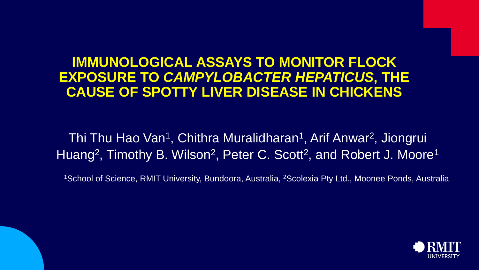### **IMMUNOLOGICAL ASSAYS TO MONITOR FLOCK EXPOSURE TO** *CAMPYLOBACTER HEPATICUS***, THE CAUSE OF SPOTTY LIVER DISEASE IN CHICKENS**

### Thi Thu Hao Van<sup>1</sup>, Chithra Muralidharan<sup>1</sup>, Arif Anwar<sup>2</sup>, Jiongrui Huang<sup>2</sup>, Timothy B. Wilson<sup>2</sup>, Peter C. Scott<sup>2</sup>, and Robert J. Moore<sup>1</sup>

<sup>1</sup>School of Science, RMIT University, Bundoora, Australia, <sup>2</sup>Scolexia Pty Ltd., Moonee Ponds, Australia.

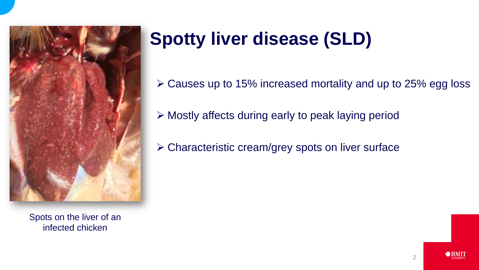

Spots on the liver of an infected chicken

# **Spotty liver disease (SLD)**

Causes up to 15% increased mortality and up to 25% egg loss

- $\triangleright$  Mostly affects during early to peak laying period
- Characteristic cream/grey spots on liver surface

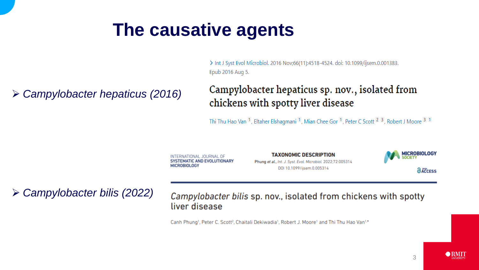### **The causative agents**

> Int J Syst Evol Microbiol. 2016 Nov;66(11):4518-4524. doi: 10.1099/ijsem.0.001383. Epub 2016 Aug 5.

*Campylobacter hepaticus (2016)*

Campylobacter hepaticus sp. nov., isolated from chickens with spotty liver disease

Thi Thu Hao Van <sup>1</sup>, Eltaher Elshagmani <sup>1</sup>, Mian Chee Gor <sup>1</sup>, Peter C Scott <sup>2</sup> <sup>3</sup>, Robert J Moore <sup>3</sup> <sup>1</sup>

INTERNATIONAL JOURNAL OF SYSTEMATIC AND EVOLUTIONARY **MICROBIOLOGY** 

**TAXONOMIC DESCRIPTION** Phung et al., Int. J. Syst. Evol. Microbiol. 2022;72:005314

DOI 10.1099/ijsem.0.005314

**MICROBIOLOGY** *<u>ACCESS</u>* 

*Campylobacter bilis (2022)*

Campylobacter bilis sp. nov., isolated from chickens with spotty liver disease

Canh Phung<sup>1</sup>, Peter C. Scott<sup>2</sup>, Chaitali Dekiwadia<sup>1</sup>, Robert J. Moore<sup>1</sup> and Thi Thu Hao Van<sup>1,\*</sup>

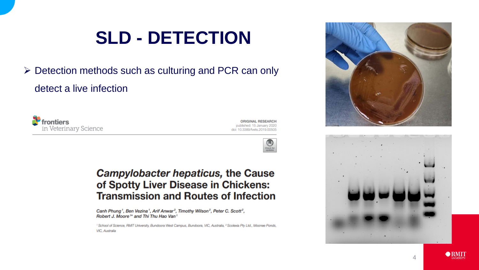# **SLD - DETECTION**

 $\triangleright$  Detection methods such as culturing and PCR can only detect a live infection



**ORIGINAL RESEARCH** published: 15 January 2020 doi: 10.3389/fvets.2019.00505



#### **Campylobacter hepaticus, the Cause** of Spotty Liver Disease in Chickens: **Transmission and Routes of Infection**

Canh Phung<sup>1</sup>, Ben Vezina<sup>1</sup>, Arif Anwar<sup>2</sup>, Timothy Wilson<sup>2</sup>, Peter C. Scott<sup>2</sup>, Robert J. Moore<sup>1\*</sup> and Thi Thu Hao Van<sup>1</sup>

<sup>1</sup> School of Science, RMIT University, Bundoora West Campus, Bundoora, VIC, Australia, <sup>2</sup> Scolexia Pty Ltd., Moonee Ponds, VIC, Australia







O RMIT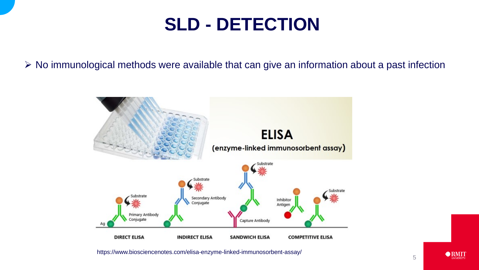## **SLD - DETECTION**

 $\triangleright$  No immunological methods were available that can give an information about a past infection



 $\bigcirc$  RMIT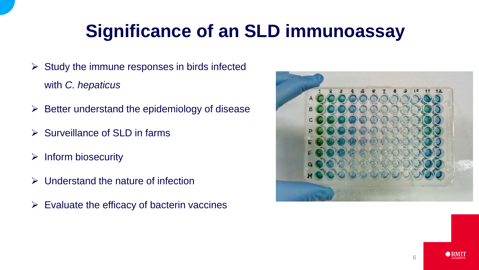# **Significance of an SLD immunoassay**

- $\triangleright$  Study the immune responses in birds infected with *C. hepaticus*
- $\triangleright$  Better understand the epidemiology of disease
- $\triangleright$  Surveillance of SLD in farms
- $\triangleright$  Inform biosecurity
- $\triangleright$  Understand the nature of infection
- $\triangleright$  Evaluate the efficacy of bacterin vaccines

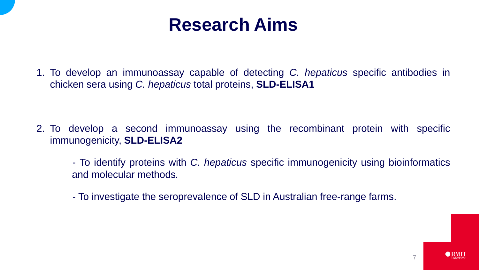### **Research Aims**

1. To develop an immunoassay capable of detecting *C. hepaticus* specific antibodies in chicken sera using *C. hepaticus* total proteins, **SLD-ELISA1**

- 2. To develop a second immunoassay using the recombinant protein with specific immunogenicity, **SLD-ELISA2**
	- To identify proteins with *C. hepaticus* specific immunogenicity using bioinformatics and molecular methods*.*
	- To investigate the seroprevalence of SLD in Australian free-range farms.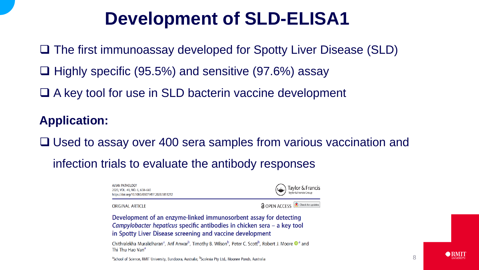## **Development of SLD-ELISA1**

□ The first immunoassay developed for Spotty Liver Disease (SLD)

- $\Box$  Highly specific (95.5%) and sensitive (97.6%) assay
- □ A key tool for use in SLD bacterin vaccine development

#### **Application:**

□ Used to assay over 400 sera samples from various vaccination and

infection trials to evaluate the antibody responses

**AVIAN PATHOLOGY** 2020, VOL. 49, NO. 6, 658-665 https://doi.org/10.1080/03079457.2020.1813252

Taylor & Francis aylor & Francis Group

**ORIGINAL ARTICLE** 

**a** OPEN ACCESS **a** Check for updates

Development of an enzyme-linked immunosorbent assay for detecting Campylobacter hepaticus specific antibodies in chicken sera - a key tool in Spotty Liver Disease screening and vaccine development

Chithralekha Muralidharan<sup>a</sup>, Arif Anwar<sup>b</sup>, Timothy B. Wilson<sup>b</sup>, Peter C. Scott<sup>b</sup>, Robert J. Moore <sup>n</sup> and Thi Thu Hao Van<sup>a</sup>

<sup>a</sup>School of Science, RMIT University, Bundoora, Australia; <sup>b</sup>Scolexia Pty Ltd., Moonee Ponds, Australia

O RMIT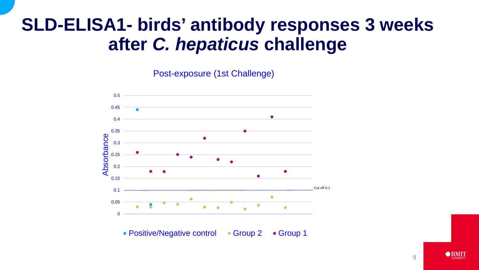### **SLD-ELISA1- birds' antibody responses 3 weeks after** *C. hepaticus* **challenge**

Post-exposure (1st Challenge)



• Positive/Negative control • Group 2 • Group 1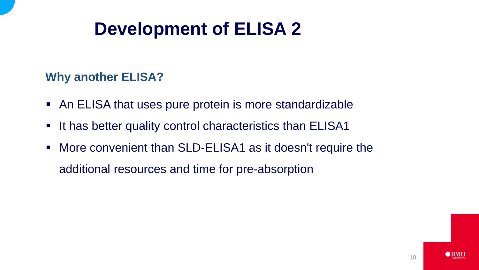## **Development of ELISA 2**

#### **Why another ELISA?**

- An ELISA that uses pure protein is more standardizable
- It has better quality control characteristics than ELISA1
- More convenient than SLD-ELISA1 as it doesn't require the additional resources and time for pre-absorption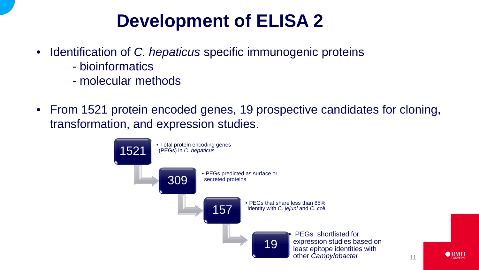# **Development of ELISA 2**

- Identification of *C. hepaticus* specific immunogenic proteins
	- bioinformatics
	- molecular methods
- From 1521 protein encoded genes, 19 prospective candidates for cloning, transformation, and expression studies.

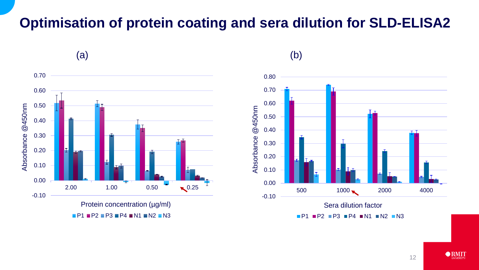### **Optimisation of protein coating and sera dilution for SLD-ELISA2**





 $P1$  P2 P3 P4 N1 N2 N3

12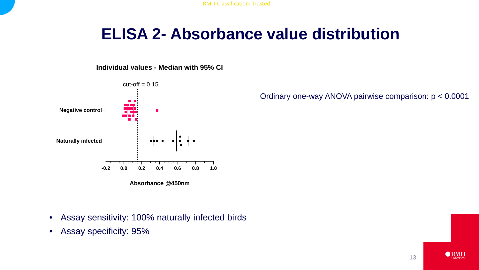RMIT Classification: Trusted

### **ELISA 2- Absorbance value distribution**

**Individual values - Median with 95% CI**



Ordinary one-way ANOVA pairwise comparison: p < 0.0001

- Assay sensitivity: 100% naturally infected birds
- Assay specificity: 95%

13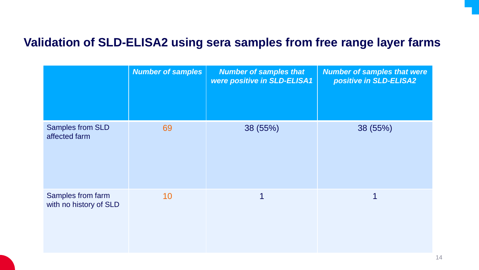#### **Validation of SLD-ELISA2 using sera samples from free range layer farms**

|                                             | <b>Number of samples</b> | <b>Number of samples that</b><br>were positive in SLD-ELISA1 | <b>Number of samples that were</b><br>positive in SLD-ELISA2 |
|---------------------------------------------|--------------------------|--------------------------------------------------------------|--------------------------------------------------------------|
| <b>Samples from SLD</b><br>affected farm    | 69                       | 38 (55%)                                                     | 38 (55%)                                                     |
| Samples from farm<br>with no history of SLD | 10                       | 1                                                            | 1                                                            |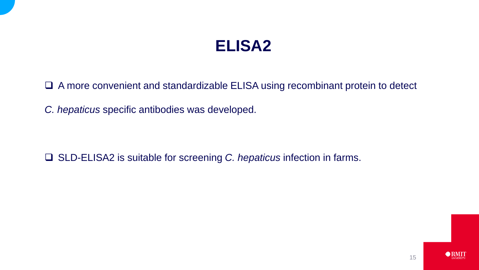### **ELISA2**

A more convenient and standardizable ELISA using recombinant protein to detect

*C. hepaticus* specific antibodies was developed.

□ SLD-ELISA2 is suitable for screening *C. hepaticus* infection in farms.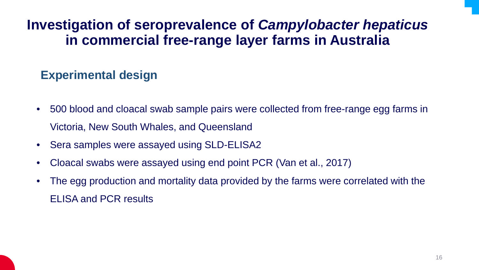### **Investigation of seroprevalence of** *Campylobacter hepaticus*  **in commercial free-range layer farms in Australia**

#### **Experimental design**

- 500 blood and cloacal swab sample pairs were collected from free-range egg farms in Victoria, New South Whales, and Queensland
- Sera samples were assayed using SLD-ELISA2
- Cloacal swabs were assayed using end point PCR (Van et al., 2017)
- The egg production and mortality data provided by the farms were correlated with the ELISA and PCR results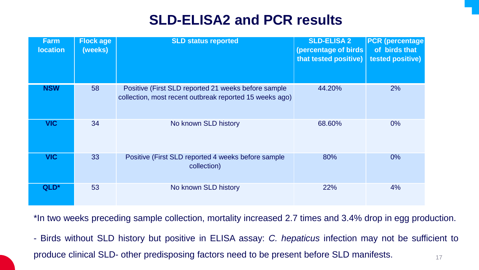### **SLD-ELISA2 and PCR results**

| <b>Farm</b><br><b>location</b> | <b>Flock age</b><br>(weeks) | <b>SLD status reported</b>                                                                                     | <b>SLD-ELISA 2</b><br>(percentage of birds)<br>that tested positive) | <b>PCR (percentage)</b><br>of birds that<br><b>tested positive)</b> |
|--------------------------------|-----------------------------|----------------------------------------------------------------------------------------------------------------|----------------------------------------------------------------------|---------------------------------------------------------------------|
| <b>NSW</b>                     | 58                          | Positive (First SLD reported 21 weeks before sample<br>collection, most recent outbreak reported 15 weeks ago) | 44.20%                                                               | 2%                                                                  |
| <b>VIC</b>                     | 34                          | No known SLD history                                                                                           | 68.60%                                                               | $0\%$                                                               |
| <b>VIC</b>                     | 33                          | Positive (First SLD reported 4 weeks before sample<br>collection)                                              | 80%                                                                  | $0\%$                                                               |
| QLD*                           | 53                          | No known SLD history                                                                                           | 22%                                                                  | 4%                                                                  |

\*In two weeks preceding sample collection, mortality increased 2.7 times and 3.4% drop in egg production.

- Birds without SLD history but positive in ELISA assay: *C. hepaticus* infection may not be sufficient to produce clinical SLD- other predisposing factors need to be present before SLD manifests.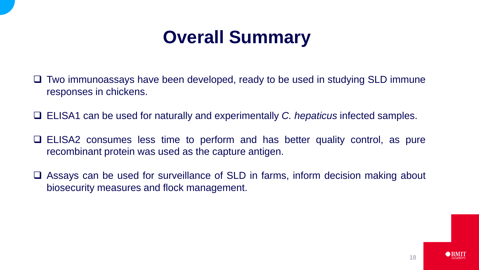# **Overall Summary**

- Two immunoassays have been developed, ready to be used in studying SLD immune responses in chickens.
- ELISA1 can be used for naturally and experimentally *C. hepaticus* infected samples.
- ELISA2 consumes less time to perform and has better quality control, as pure recombinant protein was used as the capture antigen.
- □ Assays can be used for surveillance of SLD in farms, inform decision making about biosecurity measures and flock management.